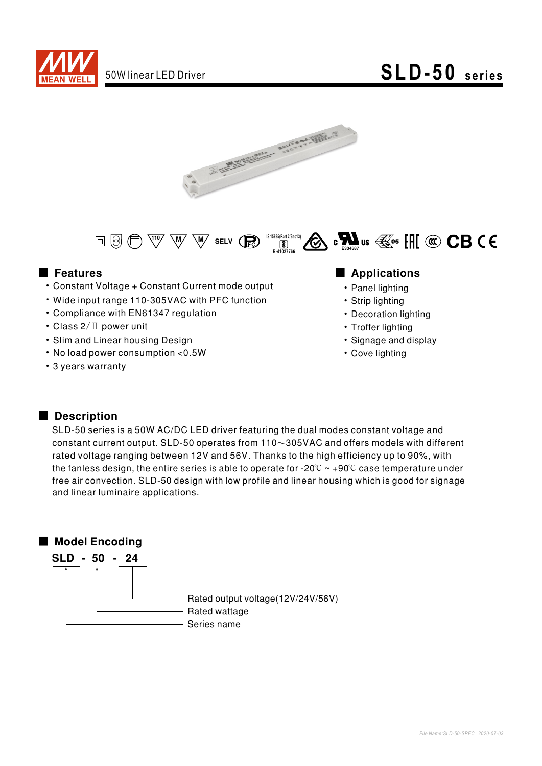

# 50W linear LED Driver **SLD-50 series**





- Constant Voltage + Constant Current mode output
- Wide input range 110-305VAC with PFC function
- Compliance with EN61347 regulation
- Class 2/ II power unit
- Slim and Linear housing Design
- No load power consumption < 0.5W
- 3 years warranty

### ■ Features ■ Preactions

- Panel lighting
- Strip lighting
- Decoration lighting
- Troffer lighting
- Signage and display
- Cove lighting

### Description

SLD-50 series is a 50W AC/DC LED driver featuring the dual modes constant voltage and constant current output. SLD-50 operates from  $110~305$ VAC and offers models with different rated voltage ranging between 12V and 56V. Thanks to the high efficiency up to 90%, with the fanless design, the entire series is able to operate for -20 $\degree$  ~ +90 $\degree$ C case temperature under free air convection. SLD-50 design with low profile and linear housing which is good for signage and linear luminaire applications.

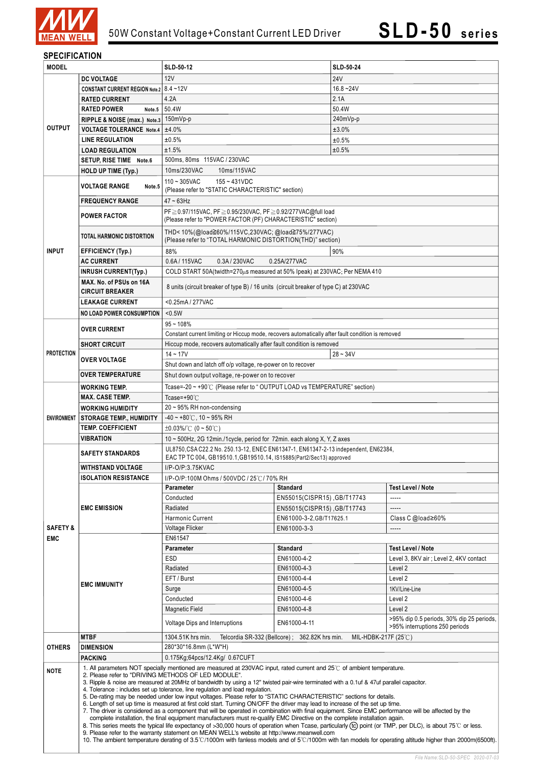

### **SPECIFICATION**

| <b>MODEL</b>                      |                                                                                                                                                                                                                                                                                                                                                                                                                                                                                                                                                                                                                                                                                                                                                                                                                                                                                                                                                                                                                                                                                                                                                                                                                                                                                                                                                                                    | <b>SLD-50-12</b>                                                                                     |                             | <b>SLD-50-24</b> |                                           |  |  |
|-----------------------------------|------------------------------------------------------------------------------------------------------------------------------------------------------------------------------------------------------------------------------------------------------------------------------------------------------------------------------------------------------------------------------------------------------------------------------------------------------------------------------------------------------------------------------------------------------------------------------------------------------------------------------------------------------------------------------------------------------------------------------------------------------------------------------------------------------------------------------------------------------------------------------------------------------------------------------------------------------------------------------------------------------------------------------------------------------------------------------------------------------------------------------------------------------------------------------------------------------------------------------------------------------------------------------------------------------------------------------------------------------------------------------------|------------------------------------------------------------------------------------------------------|-----------------------------|------------------|-------------------------------------------|--|--|
|                                   | <b>DC VOLTAGE</b>                                                                                                                                                                                                                                                                                                                                                                                                                                                                                                                                                                                                                                                                                                                                                                                                                                                                                                                                                                                                                                                                                                                                                                                                                                                                                                                                                                  | 12V                                                                                                  |                             | 24V              |                                           |  |  |
|                                   | <b>CONSTANT CURRENT REGION Note.2</b>                                                                                                                                                                                                                                                                                                                                                                                                                                                                                                                                                                                                                                                                                                                                                                                                                                                                                                                                                                                                                                                                                                                                                                                                                                                                                                                                              | $8.4 - 12V$                                                                                          |                             | $16.8 - 24V$     |                                           |  |  |
|                                   | <b>RATED CURRENT</b>                                                                                                                                                                                                                                                                                                                                                                                                                                                                                                                                                                                                                                                                                                                                                                                                                                                                                                                                                                                                                                                                                                                                                                                                                                                                                                                                                               | 4.2A                                                                                                 |                             | 2.1A             |                                           |  |  |
|                                   | <b>RATED POWER</b><br>Note.5                                                                                                                                                                                                                                                                                                                                                                                                                                                                                                                                                                                                                                                                                                                                                                                                                                                                                                                                                                                                                                                                                                                                                                                                                                                                                                                                                       | 50.4W                                                                                                |                             | 50.4W            |                                           |  |  |
|                                   | RIPPLE & NOISE (max.) Note.3                                                                                                                                                                                                                                                                                                                                                                                                                                                                                                                                                                                                                                                                                                                                                                                                                                                                                                                                                                                                                                                                                                                                                                                                                                                                                                                                                       | 150mVp-p                                                                                             |                             | 240mVp-p         |                                           |  |  |
| <b>OUTPUT</b>                     | <b>VOLTAGE TOLERANCE Note.4</b>                                                                                                                                                                                                                                                                                                                                                                                                                                                                                                                                                                                                                                                                                                                                                                                                                                                                                                                                                                                                                                                                                                                                                                                                                                                                                                                                                    | ±4.0%                                                                                                |                             | ±3.0%            |                                           |  |  |
|                                   | <b>LINE REGULATION</b>                                                                                                                                                                                                                                                                                                                                                                                                                                                                                                                                                                                                                                                                                                                                                                                                                                                                                                                                                                                                                                                                                                                                                                                                                                                                                                                                                             | ±0.5%                                                                                                |                             | ±0.5%            |                                           |  |  |
|                                   | <b>LOAD REGULATION</b>                                                                                                                                                                                                                                                                                                                                                                                                                                                                                                                                                                                                                                                                                                                                                                                                                                                                                                                                                                                                                                                                                                                                                                                                                                                                                                                                                             | ±1.5%                                                                                                |                             | ±0.5%            |                                           |  |  |
|                                   | SETUP, RISE TIME Note.6                                                                                                                                                                                                                                                                                                                                                                                                                                                                                                                                                                                                                                                                                                                                                                                                                                                                                                                                                                                                                                                                                                                                                                                                                                                                                                                                                            | 500ms, 80ms 115VAC / 230VAC                                                                          |                             |                  |                                           |  |  |
|                                   | <b>HOLD UP TIME (Typ.)</b>                                                                                                                                                                                                                                                                                                                                                                                                                                                                                                                                                                                                                                                                                                                                                                                                                                                                                                                                                                                                                                                                                                                                                                                                                                                                                                                                                         | 10ms/230VAC<br>10ms/115VAC                                                                           |                             |                  |                                           |  |  |
|                                   |                                                                                                                                                                                                                                                                                                                                                                                                                                                                                                                                                                                                                                                                                                                                                                                                                                                                                                                                                                                                                                                                                                                                                                                                                                                                                                                                                                                    | $155 - 431VDC$<br>$110 - 305$ VAC                                                                    |                             |                  |                                           |  |  |
| <b>INPUT</b>                      | VOLTAGE RANGE<br>Note.5                                                                                                                                                                                                                                                                                                                                                                                                                                                                                                                                                                                                                                                                                                                                                                                                                                                                                                                                                                                                                                                                                                                                                                                                                                                                                                                                                            | (Please refer to "STATIC CHARACTERISTIC" section)                                                    |                             |                  |                                           |  |  |
|                                   | <b>FREQUENCY RANGE</b>                                                                                                                                                                                                                                                                                                                                                                                                                                                                                                                                                                                                                                                                                                                                                                                                                                                                                                                                                                                                                                                                                                                                                                                                                                                                                                                                                             | $47 \sim 63$ Hz                                                                                      |                             |                  |                                           |  |  |
|                                   |                                                                                                                                                                                                                                                                                                                                                                                                                                                                                                                                                                                                                                                                                                                                                                                                                                                                                                                                                                                                                                                                                                                                                                                                                                                                                                                                                                                    | PF ≥ 0.97/115VAC, PF ≥ 0.95/230VAC, PF ≥ 0.92/277VAC@full load                                       |                             |                  |                                           |  |  |
|                                   | <b>POWER FACTOR</b>                                                                                                                                                                                                                                                                                                                                                                                                                                                                                                                                                                                                                                                                                                                                                                                                                                                                                                                                                                                                                                                                                                                                                                                                                                                                                                                                                                | (Please refer to "POWER FACTOR (PF) CHARACTERISTIC" section)                                         |                             |                  |                                           |  |  |
|                                   |                                                                                                                                                                                                                                                                                                                                                                                                                                                                                                                                                                                                                                                                                                                                                                                                                                                                                                                                                                                                                                                                                                                                                                                                                                                                                                                                                                                    | THD< 10%(@load≧60%/115VC,230VAC; @load≧75%/277VAC)                                                   |                             |                  |                                           |  |  |
|                                   | TOTAL HARMONIC DISTORTION                                                                                                                                                                                                                                                                                                                                                                                                                                                                                                                                                                                                                                                                                                                                                                                                                                                                                                                                                                                                                                                                                                                                                                                                                                                                                                                                                          | (Please refer to "TOTAL HARMONIC DISTORTION(THD)" section)                                           |                             |                  |                                           |  |  |
|                                   | <b>EFFICIENCY (Typ.)</b>                                                                                                                                                                                                                                                                                                                                                                                                                                                                                                                                                                                                                                                                                                                                                                                                                                                                                                                                                                                                                                                                                                                                                                                                                                                                                                                                                           | 88%<br>90%                                                                                           |                             |                  |                                           |  |  |
|                                   | <b>AC CURRENT</b>                                                                                                                                                                                                                                                                                                                                                                                                                                                                                                                                                                                                                                                                                                                                                                                                                                                                                                                                                                                                                                                                                                                                                                                                                                                                                                                                                                  | 0.6A/115VAC<br>0.3A/230VAC<br>0.25A/277VAC                                                           |                             |                  |                                           |  |  |
|                                   | <b>INRUSH CURRENT(Typ.)</b>                                                                                                                                                                                                                                                                                                                                                                                                                                                                                                                                                                                                                                                                                                                                                                                                                                                                                                                                                                                                                                                                                                                                                                                                                                                                                                                                                        | COLD START 50A(twidth=270µs measured at 50% Ipeak) at 230VAC; Per NEMA 410                           |                             |                  |                                           |  |  |
|                                   | MAX. No. of PSUs on 16A                                                                                                                                                                                                                                                                                                                                                                                                                                                                                                                                                                                                                                                                                                                                                                                                                                                                                                                                                                                                                                                                                                                                                                                                                                                                                                                                                            |                                                                                                      |                             |                  |                                           |  |  |
|                                   | <b>CIRCUIT BREAKER</b>                                                                                                                                                                                                                                                                                                                                                                                                                                                                                                                                                                                                                                                                                                                                                                                                                                                                                                                                                                                                                                                                                                                                                                                                                                                                                                                                                             | 8 units (circuit breaker of type B) / 16 units (circuit breaker of type C) at 230VAC                 |                             |                  |                                           |  |  |
|                                   | <b>LEAKAGE CURRENT</b>                                                                                                                                                                                                                                                                                                                                                                                                                                                                                                                                                                                                                                                                                                                                                                                                                                                                                                                                                                                                                                                                                                                                                                                                                                                                                                                                                             | <0.25mA / 277VAC                                                                                     |                             |                  |                                           |  |  |
|                                   | <b>NO LOAD POWER CONSUMPTION</b>                                                                                                                                                                                                                                                                                                                                                                                                                                                                                                                                                                                                                                                                                                                                                                                                                                                                                                                                                                                                                                                                                                                                                                                                                                                                                                                                                   | < 0.5W                                                                                               |                             |                  |                                           |  |  |
|                                   |                                                                                                                                                                                                                                                                                                                                                                                                                                                                                                                                                                                                                                                                                                                                                                                                                                                                                                                                                                                                                                                                                                                                                                                                                                                                                                                                                                                    | $95 - 108%$                                                                                          |                             |                  |                                           |  |  |
|                                   | <b>OVER CURRENT</b>                                                                                                                                                                                                                                                                                                                                                                                                                                                                                                                                                                                                                                                                                                                                                                                                                                                                                                                                                                                                                                                                                                                                                                                                                                                                                                                                                                | Constant current limiting or Hiccup mode, recovers automatically after fault condition is removed    |                             |                  |                                           |  |  |
|                                   | <b>SHORT CIRCUIT</b>                                                                                                                                                                                                                                                                                                                                                                                                                                                                                                                                                                                                                                                                                                                                                                                                                                                                                                                                                                                                                                                                                                                                                                                                                                                                                                                                                               | Hiccup mode, recovers automatically after fault condition is removed                                 |                             |                  |                                           |  |  |
| <b>PROTECTION</b>                 |                                                                                                                                                                                                                                                                                                                                                                                                                                                                                                                                                                                                                                                                                                                                                                                                                                                                                                                                                                                                                                                                                                                                                                                                                                                                                                                                                                                    | $14 - 17V$<br>$28 - 34V$                                                                             |                             |                  |                                           |  |  |
|                                   | <b>OVER VOLTAGE</b>                                                                                                                                                                                                                                                                                                                                                                                                                                                                                                                                                                                                                                                                                                                                                                                                                                                                                                                                                                                                                                                                                                                                                                                                                                                                                                                                                                | Shut down and latch off o/p voltage, re-power on to recover                                          |                             |                  |                                           |  |  |
|                                   | <b>OVER TEMPERATURE</b>                                                                                                                                                                                                                                                                                                                                                                                                                                                                                                                                                                                                                                                                                                                                                                                                                                                                                                                                                                                                                                                                                                                                                                                                                                                                                                                                                            | Shut down output voltage, re-power on to recover                                                     |                             |                  |                                           |  |  |
|                                   | <b>WORKING TEMP.</b>                                                                                                                                                                                                                                                                                                                                                                                                                                                                                                                                                                                                                                                                                                                                                                                                                                                                                                                                                                                                                                                                                                                                                                                                                                                                                                                                                               | Tcase=-20 ~ +90℃ (Please refer to "OUTPUT LOAD vs TEMPERATURE" section)                              |                             |                  |                                           |  |  |
|                                   | <b>MAX. CASE TEMP.</b>                                                                                                                                                                                                                                                                                                                                                                                                                                                                                                                                                                                                                                                                                                                                                                                                                                                                                                                                                                                                                                                                                                                                                                                                                                                                                                                                                             | Tcase=+90 $°C$                                                                                       |                             |                  |                                           |  |  |
| <b>ENVIRONMENT</b>                | <b>WORKING HUMIDITY</b>                                                                                                                                                                                                                                                                                                                                                                                                                                                                                                                                                                                                                                                                                                                                                                                                                                                                                                                                                                                                                                                                                                                                                                                                                                                                                                                                                            | $20 \sim 95\%$ RH non-condensing                                                                     |                             |                  |                                           |  |  |
|                                   | <b>STORAGE TEMP., HUMIDITY</b>                                                                                                                                                                                                                                                                                                                                                                                                                                                                                                                                                                                                                                                                                                                                                                                                                                                                                                                                                                                                                                                                                                                                                                                                                                                                                                                                                     | $-40$ ~ +80 $\degree$ C, 10 ~ 95% RH                                                                 |                             |                  |                                           |  |  |
|                                   | <b>TEMP. COEFFICIENT</b>                                                                                                                                                                                                                                                                                                                                                                                                                                                                                                                                                                                                                                                                                                                                                                                                                                                                                                                                                                                                                                                                                                                                                                                                                                                                                                                                                           | $\pm 0.03\%$ (0 ~ 50°C)                                                                              |                             |                  |                                           |  |  |
|                                   | VIBRATION                                                                                                                                                                                                                                                                                                                                                                                                                                                                                                                                                                                                                                                                                                                                                                                                                                                                                                                                                                                                                                                                                                                                                                                                                                                                                                                                                                          | 10 ~ 500Hz, 2G 12min./1 cycle, period for 72min. each along X, Y, Z axes                             |                             |                  |                                           |  |  |
|                                   |                                                                                                                                                                                                                                                                                                                                                                                                                                                                                                                                                                                                                                                                                                                                                                                                                                                                                                                                                                                                                                                                                                                                                                                                                                                                                                                                                                                    | UL8750, CSA C22.2 No. 250.13-12, ENEC EN61347-1, EN61347-2-13 independent, EN62384,                  |                             |                  |                                           |  |  |
|                                   | <b>SAFETY STANDARDS</b>                                                                                                                                                                                                                                                                                                                                                                                                                                                                                                                                                                                                                                                                                                                                                                                                                                                                                                                                                                                                                                                                                                                                                                                                                                                                                                                                                            | EAC TP TC 004, GB19510.1, GB19510.14, IS15885(Part2/Sec13) approved                                  |                             |                  |                                           |  |  |
|                                   | WITHSTAND VOLTAGE                                                                                                                                                                                                                                                                                                                                                                                                                                                                                                                                                                                                                                                                                                                                                                                                                                                                                                                                                                                                                                                                                                                                                                                                                                                                                                                                                                  | I/P-O/P:3.75KVAC                                                                                     |                             |                  |                                           |  |  |
|                                   | ISOLATION RESISTANCE                                                                                                                                                                                                                                                                                                                                                                                                                                                                                                                                                                                                                                                                                                                                                                                                                                                                                                                                                                                                                                                                                                                                                                                                                                                                                                                                                               | I/P-O/P:100M Ohms / 500VDC / 25℃/ 70% RH                                                             |                             |                  |                                           |  |  |
|                                   | <b>EMC EMISSION</b>                                                                                                                                                                                                                                                                                                                                                                                                                                                                                                                                                                                                                                                                                                                                                                                                                                                                                                                                                                                                                                                                                                                                                                                                                                                                                                                                                                | <b>Parameter</b>                                                                                     | <b>Standard</b>             |                  | <b>Test Level / Note</b>                  |  |  |
|                                   |                                                                                                                                                                                                                                                                                                                                                                                                                                                                                                                                                                                                                                                                                                                                                                                                                                                                                                                                                                                                                                                                                                                                                                                                                                                                                                                                                                                    | Conducted                                                                                            | EN55015(CISPR15), GB/T17743 |                  | -----                                     |  |  |
| <b>SAFETY &amp;</b><br><b>EMC</b> |                                                                                                                                                                                                                                                                                                                                                                                                                                                                                                                                                                                                                                                                                                                                                                                                                                                                                                                                                                                                                                                                                                                                                                                                                                                                                                                                                                                    | Radiated                                                                                             | EN55015(CISPR15), GB/T17743 |                  | -----                                     |  |  |
|                                   |                                                                                                                                                                                                                                                                                                                                                                                                                                                                                                                                                                                                                                                                                                                                                                                                                                                                                                                                                                                                                                                                                                                                                                                                                                                                                                                                                                                    | Harmonic Current                                                                                     | EN61000-3-2, GB/T17625.1    |                  | Class C @load≥60%                         |  |  |
|                                   |                                                                                                                                                                                                                                                                                                                                                                                                                                                                                                                                                                                                                                                                                                                                                                                                                                                                                                                                                                                                                                                                                                                                                                                                                                                                                                                                                                                    | Voltage Flicker                                                                                      | EN61000-3-3                 |                  |                                           |  |  |
|                                   | <b>EMC IMMUNITY</b>                                                                                                                                                                                                                                                                                                                                                                                                                                                                                                                                                                                                                                                                                                                                                                                                                                                                                                                                                                                                                                                                                                                                                                                                                                                                                                                                                                | EN61547                                                                                              |                             |                  |                                           |  |  |
|                                   |                                                                                                                                                                                                                                                                                                                                                                                                                                                                                                                                                                                                                                                                                                                                                                                                                                                                                                                                                                                                                                                                                                                                                                                                                                                                                                                                                                                    | <b>Parameter</b>                                                                                     | <b>Standard</b>             |                  | <b>Test Level / Note</b>                  |  |  |
|                                   |                                                                                                                                                                                                                                                                                                                                                                                                                                                                                                                                                                                                                                                                                                                                                                                                                                                                                                                                                                                                                                                                                                                                                                                                                                                                                                                                                                                    | ESD                                                                                                  | EN61000-4-2                 |                  | Level 3, 8KV air ; Level 2, 4KV contact   |  |  |
|                                   |                                                                                                                                                                                                                                                                                                                                                                                                                                                                                                                                                                                                                                                                                                                                                                                                                                                                                                                                                                                                                                                                                                                                                                                                                                                                                                                                                                                    | Radiated                                                                                             | EN61000-4-3                 |                  | Level 2                                   |  |  |
|                                   |                                                                                                                                                                                                                                                                                                                                                                                                                                                                                                                                                                                                                                                                                                                                                                                                                                                                                                                                                                                                                                                                                                                                                                                                                                                                                                                                                                                    | EFT / Burst                                                                                          | EN61000-4-4                 |                  | Level <sub>2</sub>                        |  |  |
|                                   |                                                                                                                                                                                                                                                                                                                                                                                                                                                                                                                                                                                                                                                                                                                                                                                                                                                                                                                                                                                                                                                                                                                                                                                                                                                                                                                                                                                    | Surge<br>Conducted                                                                                   | EN61000-4-5                 |                  | 1KV/Line-Line                             |  |  |
|                                   |                                                                                                                                                                                                                                                                                                                                                                                                                                                                                                                                                                                                                                                                                                                                                                                                                                                                                                                                                                                                                                                                                                                                                                                                                                                                                                                                                                                    | Magnetic Field                                                                                       | EN61000-4-6<br>EN61000-4-8  |                  | Level 2<br>Level <sub>2</sub>             |  |  |
|                                   |                                                                                                                                                                                                                                                                                                                                                                                                                                                                                                                                                                                                                                                                                                                                                                                                                                                                                                                                                                                                                                                                                                                                                                                                                                                                                                                                                                                    |                                                                                                      |                             |                  | >95% dip 0.5 periods, 30% dip 25 periods, |  |  |
|                                   |                                                                                                                                                                                                                                                                                                                                                                                                                                                                                                                                                                                                                                                                                                                                                                                                                                                                                                                                                                                                                                                                                                                                                                                                                                                                                                                                                                                    | <b>Voltage Dips and Interruptions</b>                                                                | EN61000-4-11                |                  | >95% interruptions 250 periods            |  |  |
|                                   | <b>MTBF</b>                                                                                                                                                                                                                                                                                                                                                                                                                                                                                                                                                                                                                                                                                                                                                                                                                                                                                                                                                                                                                                                                                                                                                                                                                                                                                                                                                                        | 1304.51K hrs min.<br>Telcordia SR-332 (Bellcore); 362.82K hrs min.<br>MIL-HDBK-217F $(25^{\circ}$ C) |                             |                  |                                           |  |  |
| <b>OTHERS</b>                     | <b>DIMENSION</b>                                                                                                                                                                                                                                                                                                                                                                                                                                                                                                                                                                                                                                                                                                                                                                                                                                                                                                                                                                                                                                                                                                                                                                                                                                                                                                                                                                   | 280*30*16.8mm (L*W*H)                                                                                |                             |                  |                                           |  |  |
|                                   | <b>PACKING</b>                                                                                                                                                                                                                                                                                                                                                                                                                                                                                                                                                                                                                                                                                                                                                                                                                                                                                                                                                                                                                                                                                                                                                                                                                                                                                                                                                                     | 0.175Kg;64pcs/12.4Kg/ 0.67CUFT                                                                       |                             |                  |                                           |  |  |
| <b>NOTE</b>                       | 1. All parameters NOT specially mentioned are measured at 230VAC input, rated current and 25°C of ambient temperature.<br>2. Please refer to "DRIVING METHODS OF LED MODULE".<br>3. Ripple & noise are measured at 20MHz of bandwidth by using a 12" twisted pair-wire terminated with a 0.1uf & 47uf parallel capacitor.<br>4. Tolerance: includes set up tolerance, line regulation and load regulation.<br>5. De-rating may be needed under low input voltages. Please refer to "STATIC CHARACTERISTIC" sections for details.<br>6. Length of set up time is measured at first cold start. Turning ON/OFF the driver may lead to increase of the set up time.<br>7. The driver is considered as a component that will be operated in combination with final equipment. Since EMC performance will be affected by the<br>complete installation, the final equipment manufacturers must re-qualify EMC Directive on the complete installation again.<br>8. This series meets the typical life expectancy of >30,000 hours of operation when Tcase, particularly (tc) point (or TMP, per DLC), is about 75°C or less.<br>9. Please refer to the warranty statement on MEAN WELL's website at http://www.meanwell.com<br>10. The ambient temperature derating of 3.5°C/1000m with fanless models and of 5°C/1000m with fan models for operating altitude higher than 2000m(6500ft). |                                                                                                      |                             |                  |                                           |  |  |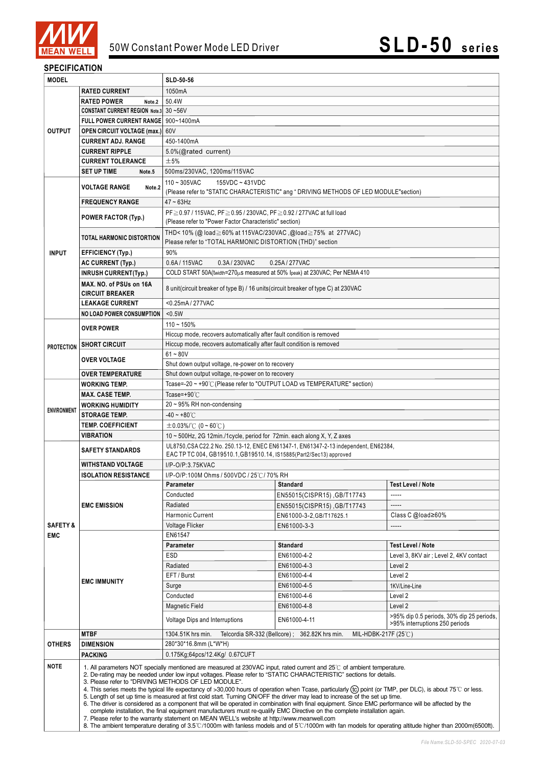

#### **SPECIFICATION**

| <b>MODEL</b>        |                                                                                                                                                                                                                                                                                                                                                                                                                                                                                                                                                                                                                                                                                                                                                                                                                                                                                                                                                                                                                                                                                                                                                      | SLD-50-56                                                                                                                                                  |                                                                                 |                                                                             |  |  |  |
|---------------------|------------------------------------------------------------------------------------------------------------------------------------------------------------------------------------------------------------------------------------------------------------------------------------------------------------------------------------------------------------------------------------------------------------------------------------------------------------------------------------------------------------------------------------------------------------------------------------------------------------------------------------------------------------------------------------------------------------------------------------------------------------------------------------------------------------------------------------------------------------------------------------------------------------------------------------------------------------------------------------------------------------------------------------------------------------------------------------------------------------------------------------------------------|------------------------------------------------------------------------------------------------------------------------------------------------------------|---------------------------------------------------------------------------------|-----------------------------------------------------------------------------|--|--|--|
|                     | <b>RATED CURRENT</b>                                                                                                                                                                                                                                                                                                                                                                                                                                                                                                                                                                                                                                                                                                                                                                                                                                                                                                                                                                                                                                                                                                                                 | 1050mA                                                                                                                                                     |                                                                                 |                                                                             |  |  |  |
|                     | <b>RATED POWER</b><br>Note.2                                                                                                                                                                                                                                                                                                                                                                                                                                                                                                                                                                                                                                                                                                                                                                                                                                                                                                                                                                                                                                                                                                                         | 50.4W                                                                                                                                                      |                                                                                 |                                                                             |  |  |  |
|                     | CONSTANT CURRENT REGION Note.3 30~56V                                                                                                                                                                                                                                                                                                                                                                                                                                                                                                                                                                                                                                                                                                                                                                                                                                                                                                                                                                                                                                                                                                                |                                                                                                                                                            |                                                                                 |                                                                             |  |  |  |
|                     | FULL POWER CURRENT RANGE 900~1400mA                                                                                                                                                                                                                                                                                                                                                                                                                                                                                                                                                                                                                                                                                                                                                                                                                                                                                                                                                                                                                                                                                                                  |                                                                                                                                                            |                                                                                 |                                                                             |  |  |  |
| <b>OUTPUT</b>       | <b>OPEN CIRCUIT VOLTAGE (max.)</b> 60V                                                                                                                                                                                                                                                                                                                                                                                                                                                                                                                                                                                                                                                                                                                                                                                                                                                                                                                                                                                                                                                                                                               |                                                                                                                                                            |                                                                                 |                                                                             |  |  |  |
|                     | <b>CURRENT ADJ. RANGE</b>                                                                                                                                                                                                                                                                                                                                                                                                                                                                                                                                                                                                                                                                                                                                                                                                                                                                                                                                                                                                                                                                                                                            | 450-1400mA                                                                                                                                                 |                                                                                 |                                                                             |  |  |  |
|                     | <b>CURRENT RIPPLE</b>                                                                                                                                                                                                                                                                                                                                                                                                                                                                                                                                                                                                                                                                                                                                                                                                                                                                                                                                                                                                                                                                                                                                | 5.0%(@rated current)                                                                                                                                       |                                                                                 |                                                                             |  |  |  |
|                     | <b>CURRENT TOLERANCE</b>                                                                                                                                                                                                                                                                                                                                                                                                                                                                                                                                                                                                                                                                                                                                                                                                                                                                                                                                                                                                                                                                                                                             | $\pm$ 5%                                                                                                                                                   |                                                                                 |                                                                             |  |  |  |
|                     | <b>SET UP TIME</b><br>Note.5                                                                                                                                                                                                                                                                                                                                                                                                                                                                                                                                                                                                                                                                                                                                                                                                                                                                                                                                                                                                                                                                                                                         | 500ms/230VAC, 1200ms/115VAC<br>$110 - 305$ VAC<br>155VDC ~ 431VDC                                                                                          |                                                                                 |                                                                             |  |  |  |
|                     | <b>VOLTAGE RANGE</b><br>Note.2                                                                                                                                                                                                                                                                                                                                                                                                                                                                                                                                                                                                                                                                                                                                                                                                                                                                                                                                                                                                                                                                                                                       |                                                                                                                                                            |                                                                                 |                                                                             |  |  |  |
|                     | <b>FREQUENCY RANGE</b>                                                                                                                                                                                                                                                                                                                                                                                                                                                                                                                                                                                                                                                                                                                                                                                                                                                                                                                                                                                                                                                                                                                               | (Please refer to "STATIC CHARACTERISTIC" ang " DRIVING METHODS OF LED MODULE"section)<br>$47 - 63$ Hz                                                      |                                                                                 |                                                                             |  |  |  |
|                     |                                                                                                                                                                                                                                                                                                                                                                                                                                                                                                                                                                                                                                                                                                                                                                                                                                                                                                                                                                                                                                                                                                                                                      | PF ≥ 0.97 / 115VAC, PF ≥ 0.95 / 230VAC, PF ≥ 0.92 / 277VAC at full load                                                                                    |                                                                                 |                                                                             |  |  |  |
|                     | <b>POWER FACTOR (Typ.)</b>                                                                                                                                                                                                                                                                                                                                                                                                                                                                                                                                                                                                                                                                                                                                                                                                                                                                                                                                                                                                                                                                                                                           | (Please refer to "Power Factor Characteristic" section)                                                                                                    |                                                                                 |                                                                             |  |  |  |
|                     | <b>TOTAL HARMONIC DISTORTION</b>                                                                                                                                                                                                                                                                                                                                                                                                                                                                                                                                                                                                                                                                                                                                                                                                                                                                                                                                                                                                                                                                                                                     | THD<10% (@ load≧60% at 115VAC/230VAC, @load≧75% at 277VAC)<br>Please refer to "TOTAL HARMONIC DISTORTION (THD)" section                                    |                                                                                 |                                                                             |  |  |  |
| <b>INPUT</b>        | <b>EFFICIENCY (Typ.)</b>                                                                                                                                                                                                                                                                                                                                                                                                                                                                                                                                                                                                                                                                                                                                                                                                                                                                                                                                                                                                                                                                                                                             | 90%                                                                                                                                                        |                                                                                 |                                                                             |  |  |  |
|                     | <b>AC CURRENT (Typ.)</b>                                                                                                                                                                                                                                                                                                                                                                                                                                                                                                                                                                                                                                                                                                                                                                                                                                                                                                                                                                                                                                                                                                                             | 0.6A/115VAC<br>0.3A/230VAC<br>0.25A / 277VAC                                                                                                               |                                                                                 |                                                                             |  |  |  |
|                     | <b>INRUSH CURRENT(Typ.)</b>                                                                                                                                                                                                                                                                                                                                                                                                                                                                                                                                                                                                                                                                                                                                                                                                                                                                                                                                                                                                                                                                                                                          | COLD START 50A(twidth=270µs measured at 50% Ipeak) at 230VAC; Per NEMA 410                                                                                 |                                                                                 |                                                                             |  |  |  |
|                     | MAX. NO. of PSUs on 16A                                                                                                                                                                                                                                                                                                                                                                                                                                                                                                                                                                                                                                                                                                                                                                                                                                                                                                                                                                                                                                                                                                                              |                                                                                                                                                            |                                                                                 |                                                                             |  |  |  |
|                     | <b>CIRCUIT BREAKER</b>                                                                                                                                                                                                                                                                                                                                                                                                                                                                                                                                                                                                                                                                                                                                                                                                                                                                                                                                                                                                                                                                                                                               | 8 unit(circuit breaker of type B) / 16 units(circuit breaker of type C) at 230VAC                                                                          |                                                                                 |                                                                             |  |  |  |
|                     | <b>LEAKAGE CURRENT</b>                                                                                                                                                                                                                                                                                                                                                                                                                                                                                                                                                                                                                                                                                                                                                                                                                                                                                                                                                                                                                                                                                                                               | <0.25mA / 277VAC                                                                                                                                           |                                                                                 |                                                                             |  |  |  |
|                     | <b>NO LOAD POWER CONSUMPTION</b>                                                                                                                                                                                                                                                                                                                                                                                                                                                                                                                                                                                                                                                                                                                                                                                                                                                                                                                                                                                                                                                                                                                     | < 0.5W                                                                                                                                                     |                                                                                 |                                                                             |  |  |  |
|                     | <b>OVER POWER</b>                                                                                                                                                                                                                                                                                                                                                                                                                                                                                                                                                                                                                                                                                                                                                                                                                                                                                                                                                                                                                                                                                                                                    | $110 - 150%$                                                                                                                                               |                                                                                 |                                                                             |  |  |  |
|                     |                                                                                                                                                                                                                                                                                                                                                                                                                                                                                                                                                                                                                                                                                                                                                                                                                                                                                                                                                                                                                                                                                                                                                      | Hiccup mode, recovers automatically after fault condition is removed                                                                                       |                                                                                 |                                                                             |  |  |  |
| <b>PROTECTION</b>   | <b>SHORT CIRCUIT</b>                                                                                                                                                                                                                                                                                                                                                                                                                                                                                                                                                                                                                                                                                                                                                                                                                                                                                                                                                                                                                                                                                                                                 | Hiccup mode, recovers automatically after fault condition is removed                                                                                       |                                                                                 |                                                                             |  |  |  |
|                     | <b>OVER VOLTAGE</b>                                                                                                                                                                                                                                                                                                                                                                                                                                                                                                                                                                                                                                                                                                                                                                                                                                                                                                                                                                                                                                                                                                                                  | $61 - 80V$                                                                                                                                                 |                                                                                 |                                                                             |  |  |  |
|                     | <b>OVER TEMPERATURE</b>                                                                                                                                                                                                                                                                                                                                                                                                                                                                                                                                                                                                                                                                                                                                                                                                                                                                                                                                                                                                                                                                                                                              | Shut down output voltage, re-power on to recovery<br>Shut down output voltage, re-power on to recovery                                                     |                                                                                 |                                                                             |  |  |  |
|                     | <b>WORKING TEMP.</b>                                                                                                                                                                                                                                                                                                                                                                                                                                                                                                                                                                                                                                                                                                                                                                                                                                                                                                                                                                                                                                                                                                                                 |                                                                                                                                                            | Tcase=-20 ~ +90℃ (Please refer to "OUTPUT LOAD vs TEMPERATURE" section)         |                                                                             |  |  |  |
|                     | <b>MAX. CASE TEMP.</b>                                                                                                                                                                                                                                                                                                                                                                                                                                                                                                                                                                                                                                                                                                                                                                                                                                                                                                                                                                                                                                                                                                                               | Tcase=+90°C                                                                                                                                                |                                                                                 |                                                                             |  |  |  |
|                     | <b>WORKING HUMIDITY</b>                                                                                                                                                                                                                                                                                                                                                                                                                                                                                                                                                                                                                                                                                                                                                                                                                                                                                                                                                                                                                                                                                                                              | 20~95% RH non-condensing                                                                                                                                   |                                                                                 |                                                                             |  |  |  |
| <b>ENVIRONMENT</b>  | <b>STORAGE TEMP.</b>                                                                                                                                                                                                                                                                                                                                                                                                                                                                                                                                                                                                                                                                                                                                                                                                                                                                                                                                                                                                                                                                                                                                 | $-40 - +80^{\circ}$ C                                                                                                                                      |                                                                                 |                                                                             |  |  |  |
|                     | <b>TEMP. COEFFICIENT</b>                                                                                                                                                                                                                                                                                                                                                                                                                                                                                                                                                                                                                                                                                                                                                                                                                                                                                                                                                                                                                                                                                                                             | $\pm 0.03\%$ /°C (0~60°C)                                                                                                                                  |                                                                                 |                                                                             |  |  |  |
|                     | <b>VIBRATION</b>                                                                                                                                                                                                                                                                                                                                                                                                                                                                                                                                                                                                                                                                                                                                                                                                                                                                                                                                                                                                                                                                                                                                     |                                                                                                                                                            | 10 ~ 500Hz, 2G 12min./1cycle, period for 72min. each along X, Y, Z axes         |                                                                             |  |  |  |
|                     | <b>SAFETY STANDARDS</b>                                                                                                                                                                                                                                                                                                                                                                                                                                                                                                                                                                                                                                                                                                                                                                                                                                                                                                                                                                                                                                                                                                                              | UL8750, CSA C22.2 No. 250.13-12, ENEC EN61347-1, EN61347-2-13 independent, EN62384,<br>EAC TP TC 004, GB19510.1, GB19510.14, IS15885(Part2/Sec13) approved |                                                                                 |                                                                             |  |  |  |
|                     | <b>WITHSTAND VOLTAGE</b>                                                                                                                                                                                                                                                                                                                                                                                                                                                                                                                                                                                                                                                                                                                                                                                                                                                                                                                                                                                                                                                                                                                             | I/P-O/P:3.75KVAC                                                                                                                                           |                                                                                 |                                                                             |  |  |  |
|                     | <b>ISOLATION RESISTANCE</b>                                                                                                                                                                                                                                                                                                                                                                                                                                                                                                                                                                                                                                                                                                                                                                                                                                                                                                                                                                                                                                                                                                                          | I/P-O/P:100M Ohms / 500VDC / 25℃/ 70% RH                                                                                                                   |                                                                                 |                                                                             |  |  |  |
|                     |                                                                                                                                                                                                                                                                                                                                                                                                                                                                                                                                                                                                                                                                                                                                                                                                                                                                                                                                                                                                                                                                                                                                                      | Parameter                                                                                                                                                  | Standard                                                                        | Test Level / Note                                                           |  |  |  |
|                     |                                                                                                                                                                                                                                                                                                                                                                                                                                                                                                                                                                                                                                                                                                                                                                                                                                                                                                                                                                                                                                                                                                                                                      | Conducted                                                                                                                                                  | EN55015(CISPR15), GB/T17743                                                     | -----                                                                       |  |  |  |
|                     | <b>EMC EMISSION</b>                                                                                                                                                                                                                                                                                                                                                                                                                                                                                                                                                                                                                                                                                                                                                                                                                                                                                                                                                                                                                                                                                                                                  | Radiated                                                                                                                                                   | EN55015(CISPR15), GB/T17743                                                     |                                                                             |  |  |  |
| <b>SAFETY &amp;</b> |                                                                                                                                                                                                                                                                                                                                                                                                                                                                                                                                                                                                                                                                                                                                                                                                                                                                                                                                                                                                                                                                                                                                                      | Harmonic Current                                                                                                                                           | EN61000-3-2,GB/T17625.1                                                         | Class C @load≥60%                                                           |  |  |  |
|                     |                                                                                                                                                                                                                                                                                                                                                                                                                                                                                                                                                                                                                                                                                                                                                                                                                                                                                                                                                                                                                                                                                                                                                      | Voltage Flicker                                                                                                                                            | EN61000-3-3                                                                     | -----                                                                       |  |  |  |
| <b>EMC</b>          | <b>EMC IMMUNITY</b>                                                                                                                                                                                                                                                                                                                                                                                                                                                                                                                                                                                                                                                                                                                                                                                                                                                                                                                                                                                                                                                                                                                                  | EN61547                                                                                                                                                    |                                                                                 |                                                                             |  |  |  |
|                     |                                                                                                                                                                                                                                                                                                                                                                                                                                                                                                                                                                                                                                                                                                                                                                                                                                                                                                                                                                                                                                                                                                                                                      | Parameter                                                                                                                                                  | <b>Standard</b>                                                                 | <b>Test Level / Note</b>                                                    |  |  |  |
|                     |                                                                                                                                                                                                                                                                                                                                                                                                                                                                                                                                                                                                                                                                                                                                                                                                                                                                                                                                                                                                                                                                                                                                                      | ESD                                                                                                                                                        | EN61000-4-2                                                                     | Level 3, 8KV air; Level 2, 4KV contact                                      |  |  |  |
|                     |                                                                                                                                                                                                                                                                                                                                                                                                                                                                                                                                                                                                                                                                                                                                                                                                                                                                                                                                                                                                                                                                                                                                                      | Radiated<br>EFT / Burst                                                                                                                                    | EN61000-4-3<br>EN61000-4-4                                                      | Level 2<br>Level 2                                                          |  |  |  |
|                     |                                                                                                                                                                                                                                                                                                                                                                                                                                                                                                                                                                                                                                                                                                                                                                                                                                                                                                                                                                                                                                                                                                                                                      | Surge                                                                                                                                                      | EN61000-4-5                                                                     | 1KV/Line-Line                                                               |  |  |  |
|                     |                                                                                                                                                                                                                                                                                                                                                                                                                                                                                                                                                                                                                                                                                                                                                                                                                                                                                                                                                                                                                                                                                                                                                      | Conducted                                                                                                                                                  | EN61000-4-6                                                                     | Level 2                                                                     |  |  |  |
|                     |                                                                                                                                                                                                                                                                                                                                                                                                                                                                                                                                                                                                                                                                                                                                                                                                                                                                                                                                                                                                                                                                                                                                                      | <b>Magnetic Field</b>                                                                                                                                      | EN61000-4-8                                                                     | Level 2                                                                     |  |  |  |
|                     |                                                                                                                                                                                                                                                                                                                                                                                                                                                                                                                                                                                                                                                                                                                                                                                                                                                                                                                                                                                                                                                                                                                                                      | Voltage Dips and Interruptions                                                                                                                             | EN61000-4-11                                                                    | >95% dip 0.5 periods, 30% dip 25 periods,<br>>95% interruptions 250 periods |  |  |  |
|                     | <b>MTBF</b>                                                                                                                                                                                                                                                                                                                                                                                                                                                                                                                                                                                                                                                                                                                                                                                                                                                                                                                                                                                                                                                                                                                                          | 1304.51K hrs min.                                                                                                                                          | Telcordia SR-332 (Bellcore); 362.82K hrs min.<br>MIL-HDBK-217F (25 $\degree$ C) |                                                                             |  |  |  |
| <b>OTHERS</b>       | <b>DIMENSION</b>                                                                                                                                                                                                                                                                                                                                                                                                                                                                                                                                                                                                                                                                                                                                                                                                                                                                                                                                                                                                                                                                                                                                     | 280*30*16.8mm (L*W*H)                                                                                                                                      |                                                                                 |                                                                             |  |  |  |
|                     | <b>PACKING</b>                                                                                                                                                                                                                                                                                                                                                                                                                                                                                                                                                                                                                                                                                                                                                                                                                                                                                                                                                                                                                                                                                                                                       | 0.175Kg;64pcs/12.4Kg/ 0.67CUFT                                                                                                                             |                                                                                 |                                                                             |  |  |  |
| <b>NOTE</b>         | 1. All parameters NOT specially mentioned are measured at 230VAC input, rated current and 25°C of ambient temperature.<br>2. De-rating may be needed under low input voltages. Please refer to "STATIC CHARACTERISTIC" sections for details.<br>3. Please refer to "DRIVING METHODS OF LED MODULE".<br>4. This series meets the typical life expectancy of >30,000 hours of operation when Tcase, particularly (tc) point (or TMP, per DLC), is about 75°C or less.<br>5. Length of set up time is measured at first cold start. Turning ON/OFF the driver may lead to increase of the set up time.<br>6. The driver is considered as a component that will be operated in combination with final equipment. Since EMC performance will be affected by the<br>complete installation, the final equipment manufacturers must re-qualify EMC Directive on the complete installation again.<br>7. Please refer to the warranty statement on MEAN WELL's website at http://www.meanwell.com<br>8. The ambient temperature derating of 3.5°C/1000m with fanless models and of 5°C/1000m with fan models for operating altitude higher than 2000m(6500ft). |                                                                                                                                                            |                                                                                 |                                                                             |  |  |  |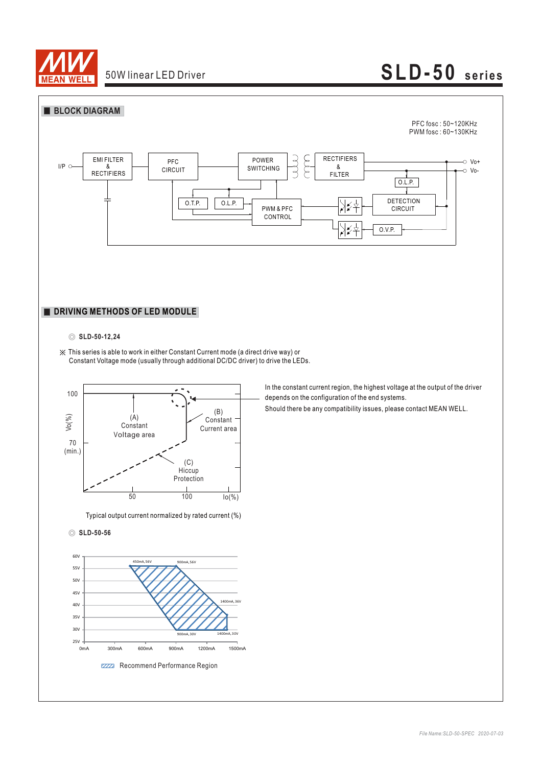

# **SLD-50 series**



#### ◎ **SLD-50-12,24**

※ This series is able to work in either Constant Current mode (a direct drive way) or Constant Voltage mode (usually through additional DC/DC driver) to drive the LEDs.



Typical output current normalized by rated current (%)

#### ◎ **SLD-50-56**



In the constant current region, the highest voltage at the output of the driver depends on the configuration of the end systems.

Should there be any compatibility issues, please contact MEAN WELL.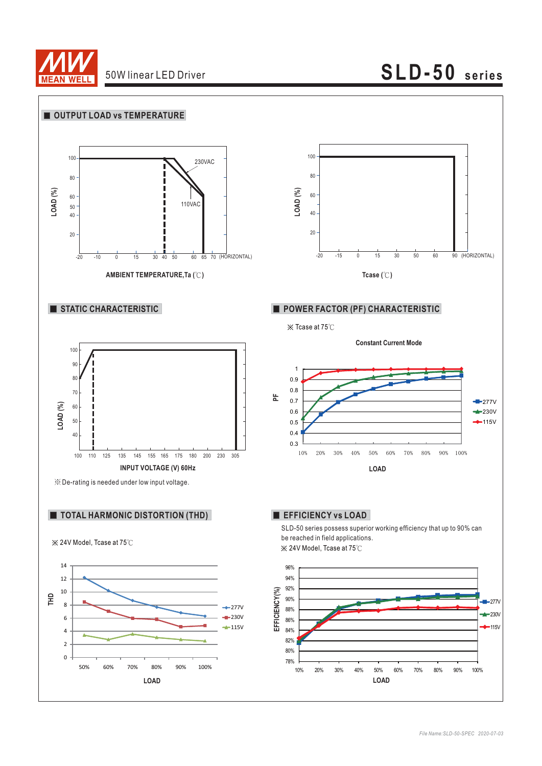

# **SLD-50 series**